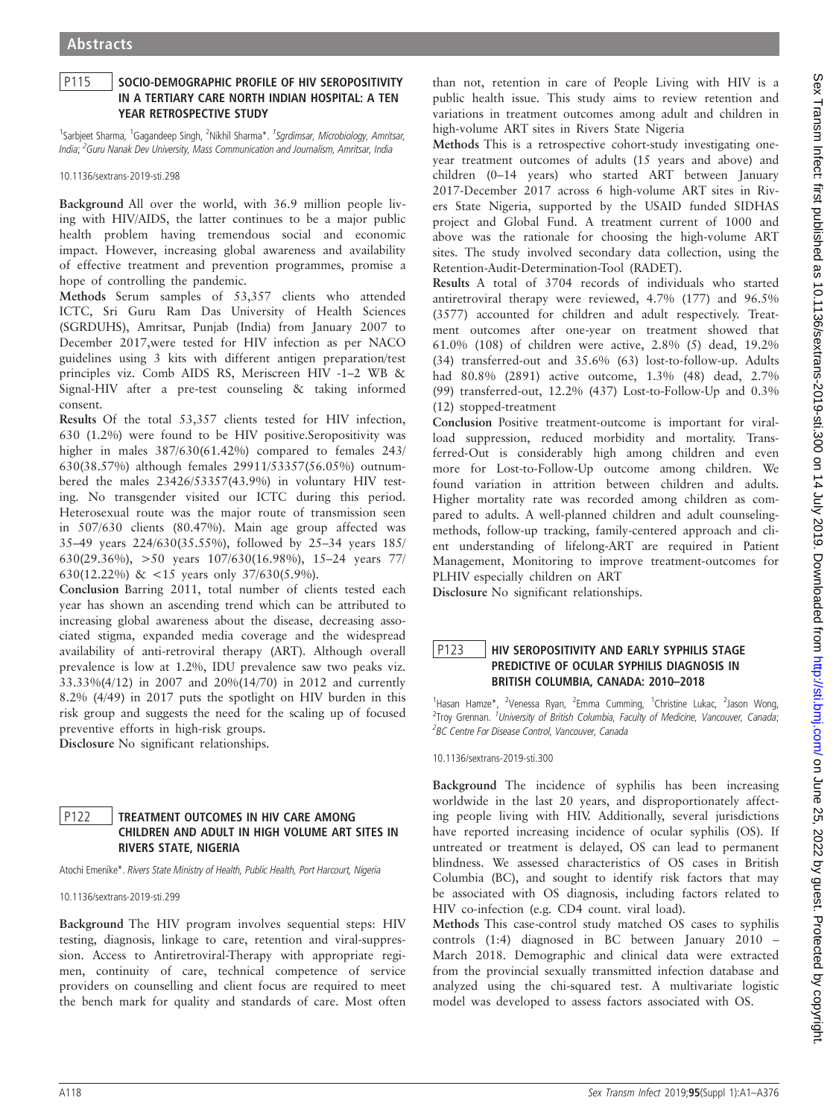### P115 SOCIO-DEMOGRAPHIC PROFILE OF HIV SEROPOSITIVITY IN A TERTIARY CARE NORTH INDIAN HOSPITAL: A TEN YEAR RETROSPECTIVE STUDY

<sup>1</sup>Sarbjeet Sharma, <sup>1</sup>Gagandeep Singh, <sup>2</sup>Nikhil Sharma\*. <sup>1</sup>Sgrdimsar, Microbiology, Amritsar, India; <sup>2</sup>Guru Nanak Dev University, Mass Communication and Journalism, Amritsar, India

10.1136/sextrans-2019-sti.298

Background All over the world, with 36.9 million people living with HIV/AIDS, the latter continues to be a major public health problem having tremendous social and economic impact. However, increasing global awareness and availability of effective treatment and prevention programmes, promise a hope of controlling the pandemic.

Methods Serum samples of 53,357 clients who attended ICTC, Sri Guru Ram Das University of Health Sciences (SGRDUHS), Amritsar, Punjab (India) from January 2007 to December 2017,were tested for HIV infection as per NACO guidelines using 3 kits with different antigen preparation/test principles viz. Comb AIDS RS, Meriscreen HIV -1–2 WB & Signal-HIV after a pre-test counseling & taking informed consent.

Results Of the total 53,357 clients tested for HIV infection, 630 (1.2%) were found to be HIV positive.Seropositivity was higher in males  $387/630(61.42%)$  compared to females 243/ 630(38.57%) although females 29911/53357(56.05%) outnumbered the males 23426/53357(43.9%) in voluntary HIV testing. No transgender visited our ICTC during this period. Heterosexual route was the major route of transmission seen in 507/630 clients (80.47%). Main age group affected was 35–49 years 224/630(35.55%), followed by 25–34 years 185/ 630(29.36%), >50 years 107/630(16.98%), 15–24 years 77/ 630(12.22%) & <15 years only 37/630(5.9%).

Conclusion Barring 2011, total number of clients tested each year has shown an ascending trend which can be attributed to increasing global awareness about the disease, decreasing associated stigma, expanded media coverage and the widespread availability of anti-retroviral therapy (ART). Although overall prevalence is low at 1.2%, IDU prevalence saw two peaks viz. 33.33%(4/12) in 2007 and 20%(14/70) in 2012 and currently 8.2% (4/49) in 2017 puts the spotlight on HIV burden in this risk group and suggests the need for the scaling up of focused preventive efforts in high-risk groups.

Disclosure No significant relationships.

#### P122 | TREATMENT OUTCOMES IN HIV CARE AMONG CHILDREN AND ADULT IN HIGH VOLUME ART SITES IN RIVERS STATE, NIGERIA

Atochi Emenike\*. Rivers State Ministry of Health, Public Health, Port Harcourt, Nigeria

10.1136/sextrans-2019-sti.299

Background The HIV program involves sequential steps: HIV testing, diagnosis, linkage to care, retention and viral-suppression. Access to Antiretroviral-Therapy with appropriate regimen, continuity of care, technical competence of service providers on counselling and client focus are required to meet the bench mark for quality and standards of care. Most often

than not, retention in care of People Living with HIV is a public health issue. This study aims to review retention and variations in treatment outcomes among adult and children in high-volume ART sites in Rivers State Nigeria

Methods This is a retrospective cohort-study investigating oneyear treatment outcomes of adults (15 years and above) and children (0–14 years) who started ART between January 2017-December 2017 across 6 high-volume ART sites in Rivers State Nigeria, supported by the USAID funded SIDHAS project and Global Fund. A treatment current of 1000 and above was the rationale for choosing the high-volume ART sites. The study involved secondary data collection, using the Retention-Audit-Determination-Tool (RADET).

Results A total of 3704 records of individuals who started antiretroviral therapy were reviewed, 4.7% (177) and 96.5% (3577) accounted for children and adult respectively. Treatment outcomes after one-year on treatment showed that 61.0% (108) of children were active, 2.8% (5) dead, 19.2% (34) transferred-out and 35.6% (63) lost-to-follow-up. Adults had 80.8% (2891) active outcome, 1.3% (48) dead, 2.7% (99) transferred-out, 12.2% (437) Lost-to-Follow-Up and 0.3% (12) stopped-treatment

Conclusion Positive treatment-outcome is important for viralload suppression, reduced morbidity and mortality. Transferred-Out is considerably high among children and even more for Lost-to-Follow-Up outcome among children. We found variation in attrition between children and adults. Higher mortality rate was recorded among children as compared to adults. A well-planned children and adult counselingmethods, follow-up tracking, family-centered approach and client understanding of lifelong-ART are required in Patient Management, Monitoring to improve treatment-outcomes for PLHIV especially children on ART

Disclosure No significant relationships.

# P123 | HIV SEROPOSITIVITY AND EARLY SYPHILIS STAGE PREDICTIVE OF OCULAR SYPHILIS DIAGNOSIS IN BRITISH COLUMBIA, CANADA: 2010–2018

<sup>1</sup>Hasan Hamze\*, <sup>2</sup>Venessa Ryan, <sup>2</sup>Emma Cumming, <sup>1</sup>Christine Lukac, <sup>2</sup>Jason Wong, <sup>2</sup>Troy Grennan. <sup>1</sup>University of British Columbia, Faculty of Medicine, Vancouver, Canada; <sup>2</sup>BC Centre For Disease Control, Vancouver, Canada

10.1136/sextrans-2019-sti.300

Background The incidence of syphilis has been increasing worldwide in the last 20 years, and disproportionately affecting people living with HIV. Additionally, several jurisdictions have reported increasing incidence of ocular syphilis (OS). If untreated or treatment is delayed, OS can lead to permanent blindness. We assessed characteristics of OS cases in British Columbia (BC), and sought to identify risk factors that may be associated with OS diagnosis, including factors related to HIV co-infection (e.g. CD4 count. viral load).

Methods This case-control study matched OS cases to syphilis controls (1:4) diagnosed in BC between January 2010 – March 2018. Demographic and clinical data were extracted from the provincial sexually transmitted infection database and analyzed using the chi-squared test. A multivariate logistic model was developed to assess factors associated with OS.